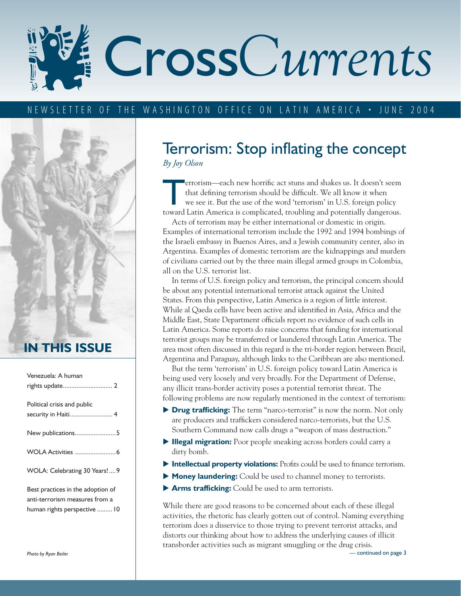# Cross*Currents*

#### TER OF THE WASHINGTON OFFICE ON LATIN AMERICA • JUNE 2004



### **IN THIS ISSUE**

| Venezuela: A human                                                  |
|---------------------------------------------------------------------|
| Political crisis and public<br>security in Haiti 4                  |
| New publications5                                                   |
|                                                                     |
| WOLA: Celebrating 30 Years!9                                        |
| Best practices in the adoption of<br>anti-terrorism measures from a |

anti-terrorism measures from a human rights perspective .........10

## Terrorism: Stop inflating the concept *By Joy Olson*

errorism—each new horrific act stuns and shakes us. It doesn't seem<br>that defining terrorism should be difficult. We all know it when<br>we see it. But the use of the word 'terrorism' in U.S. foreign policy<br>toward I atin Ameri that defining terrorism should be difficult. We all know it when we see it. But the use of the word 'terrorism' in U.S. foreign policy toward Latin America is complicated, troubling and potentially dangerous.

Acts of terrorism may be either international or domestic in origin. Examples of international terrorism include the 1992 and 1994 bombings of the Israeli embassy in Buenos Aires, and a Jewish community center, also in Argentina. Examples of domestic terrorism are the kidnappings and murders of civilians carried out by the three main illegal armed groups in Colombia, all on the U.S. terrorist list.

In terms of U.S. foreign policy and terrorism, the principal concern should be about any potential international terrorist attack against the United States. From this perspective, Latin America is a region of little interest. While al Qaeda cells have been active and identified in Asia, Africa and the Middle East, State Department officials report no evidence of such cells in Latin America. Some reports do raise concerns that funding for international terrorist groups may be transferred or laundered through Latin America. The area most often discussed in this regard is the tri-border region between Brazil, Argentina and Paraguay, although links to the Caribbean are also mentioned.

But the term 'terrorism' in U.S. foreign policy toward Latin America is being used very loosely and very broadly. For the Department of Defense, any illicit trans-border activity poses a potential terrorist threat. The following problems are now regularly mentioned in the context of terrorism:

- ▶ **Drug trafficking:** The term "narco-terrorist" is now the norm. Not only are producers and traffickers considered narco-terrorists, but the U.S. Southern Command now calls drugs a "weapon of mass destruction."
- **Illegal migration:** Poor people sneaking across borders could carry a dirty bomb.
- **Intellectual property violations:** Profits could be used to finance terrorism.
- **Money laundering:** Could be used to channel money to terrorists.
- **Arms trafficking:** Could be used to arm terrorists.

While there are good reasons to be concerned about each of these illegal activities, the rhetoric has clearly gotten out of control. Naming everything terrorism does a disservice to those trying to prevent terrorist attacks, and distorts our thinking about how to address the underlying causes of illicit transborder activities such as migrant smuggling or the drug crisis. — continued on page 3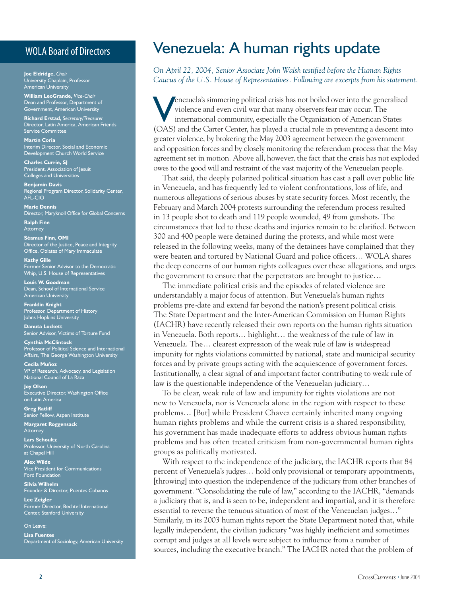#### WOLA Board of Directors

**Joe Eldridge,** *Chair* University Chaplain, Professor American University

**William LeoGrande,** *Vice-Chair* Dean and Professor, Department of Government, American University

**Richard Erstad,** *Secretary/Treasurer* Director, Latin America, American Friends Service Committee

**Martín Coria** Interim Director, Social and Economic Development Church World Service

**Charles Currie, SJ**  President, Association of Jesuit Colleges and Universities

**Benjamin Davis** Regional Program Director, Solidarity Center, AFL-CIO

**Marie Dennis** Director, Maryknoll Office for Global Concerns

**Ralph Fine Attorney** 

**Séamus Finn, OMI** Director of the Justice, Peace and Integrity Office, Oblates of Mary Immaculate

**Kathy Gille** Former Senior Advisor to the Democratic Whip, U.S. House of Representatives

**Louis W. Goodman** Dean, School of International Service American University

**Franklin Knight** Professor, Department of History Johns Hopkins University

**Danuta Lockett** Senior Advisor, Victims of Torture Fund

**Cynthia McClintock** Professor of Political Science and International Affairs, The George Washington University

**Cecila Muñoz** VP of Research, Advocacy, and Legislation National Council of La Raza

**Joy Olson** Executive Director, Washington Office on Latin America

**Greg Ratliff** Senior Fellow, Aspen Institute

**Margaret Roggensack** Attorney

**Lars Schoultz** Professor, University of North Carolina at Chapel Hill

**Alex Wilde** Vice President for Communications Ford Foundation

**Silvia Wilhelm** Founder & Director, Puentes Cubanos

**Lee Zeigler** Former Director, Bechtel International Center, Stanford University

On Leave:

**Lisa Fuentes** Department of Sociology, American University

## Venezuela: A human rights update

*On April 22, 2004, Senior Associate John Walsh testified before the Human Rights Caucus of the U.S. House of Representatives. Following are excerpts from his statement.* 

The example of the generalized violence and even civil war that many observers fear may occur. The international community, especially the Organization of American States (OAS) and the Carter Center has played a crucial re violence and even civil war that many observers fear may occur. The (OAS) and the Carter Center, has played a crucial role in preventing a descent into greater violence, by brokering the May 2003 agreement between the government and opposition forces and by closely monitoring the referendum process that the May agreement set in motion. Above all, however, the fact that the crisis has not exploded owes to the good will and restraint of the vast majority of the Venezuelan people.

That said, the deeply polarized political situation has cast a pall over public life in Venezuela, and has frequently led to violent confrontations, loss of life, and numerous allegations of serious abuses by state security forces. Most recently, the February and March 2004 protests surrounding the referendum process resulted in 13 people shot to death and 119 people wounded, 49 from gunshots. The circumstances that led to these deaths and injuries remain to be clarified. Between 300 and 400 people were detained during the protests, and while most were released in the following weeks, many of the detainees have complained that they were beaten and tortured by National Guard and police officers… WOLA shares the deep concerns of our human rights colleagues over these allegations, and urges the government to ensure that the perpetrators are brought to justice…

The immediate political crisis and the episodes of related violence are understandably a major focus of attention. But Venezuela's human rights problems pre-date and extend far beyond the nation's present political crisis. The State Department and the Inter-American Commission on Human Rights (IACHR) have recently released their own reports on the human rights situation in Venezuela. Both reports… highlight… the weakness of the rule of law in Venezuela. The… clearest expression of the weak rule of law is widespread impunity for rights violations committed by national, state and municipal security forces and by private groups acting with the acquiescence of government forces. Institutionally, a clear signal of and important factor contributing to weak rule of law is the questionable independence of the Venezuelan judiciary…

To be clear, weak rule of law and impunity for rights violations are not new to Venezuela, nor is Venezuela alone in the region with respect to these problems… [But] while President Chavez certainly inherited many ongoing human rights problems and while the current crisis is a shared responsibility, his government has made inadequate efforts to address obvious human rights problems and has often treated criticism from non-governmental human rights groups as politically motivated.

With respect to the independence of the judiciary, the IACHR reports that 84 percent of Venezuela's judges… hold only provisional or temporary appointments, [throwing] into question the independence of the judiciary from other branches of government. "Consolidating the rule of law," according to the IACHR, "demands a judiciary that is, and is seen to be, independent and impartial, and it is therefore essential to reverse the tenuous situation of most of the Venezuelan judges…" Similarly, in its 2003 human rights report the State Department noted that, while legally independent, the civilian judiciary "was highly inefficient and sometimes corrupt and judges at all levels were subject to influence from a number of sources, including the executive branch." The IACHR noted that the problem of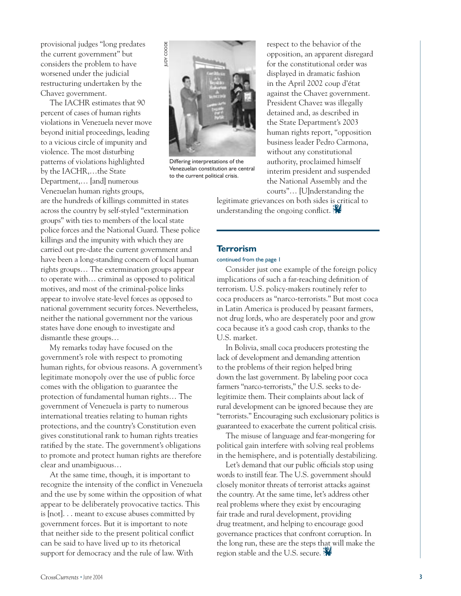provisional judges "long predates the current government" but considers the problem to have worsened under the judicial restructuring undertaken by the Chavez government.

The IACHR estimates that 90 percent of cases of human rights violations in Venezuela never move beyond initial proceedings, leading to a vicious circle of impunity and violence. The most disturbing patterns of violations highlighted by the IACHR,…the State Department,… [and] numerous Venezuelan human rights groups,

are the hundreds of killings committed in states across the country by self-styled "extermination groups" with ties to members of the local state police forces and the National Guard. These police killings and the impunity with which they are carried out pre-date the current government and have been a long-standing concern of local human rights groups… The extermination groups appear to operate with… criminal as opposed to political motives, and most of the criminal-police links appear to involve state-level forces as opposed to national government security forces. Nevertheless, neither the national government nor the various states have done enough to investigate and dismantle these groups…

My remarks today have focused on the government's role with respect to promoting human rights, for obvious reasons. A government's legitimate monopoly over the use of public force comes with the obligation to guarantee the protection of fundamental human rights… The government of Venezuela is party to numerous international treaties relating to human rights protections, and the country's Constitution even gives constitutional rank to human rights treaties ratified by the state. The government's obligations to promote and protect human rights are therefore clear and unambiguous…

At the same time, though, it is important to recognize the intensity of the conflict in Venezuela and the use by some within the opposition of what appear to be deliberately provocative tactics. This is [not]. . . meant to excuse abuses committed by government forces. But it is important to note that neither side to the present political conflict can be said to have lived up to its rhetorical support for democracy and the rule of law. With



Differing interpretations of the Venezuelan constitution are central to the current political crisis.

respect to the behavior of the opposition, an apparent disregard for the constitutional order was displayed in dramatic fashion in the April 2002 coup d'état against the Chavez government. President Chavez was illegally detained and, as described in the State Department's 2003 human rights report, "opposition business leader Pedro Carmona, without any constitutional authority, proclaimed himself interim president and suspended the National Assembly and the courts"… [U]nderstanding the

legitimate grievances on both sides is critical to understanding the ongoing conflict.

#### **Terrorism**

#### continued from the page 1

Consider just one example of the foreign policy implications of such a far-reaching definition of terrorism. U.S. policy-makers routinely refer to coca producers as "narco-terrorists." But most coca in Latin America is produced by peasant farmers, not drug lords, who are desperately poor and grow coca because it's a good cash crop, thanks to the U.S. market.

In Bolivia, small coca producers protesting the lack of development and demanding attention to the problems of their region helped bring down the last government. By labeling poor coca farmers "narco-terrorists," the U.S. seeks to delegitimize them. Their complaints about lack of rural development can be ignored because they are "terrorists." Encouraging such exclusionary politics is guaranteed to exacerbate the current political crisis.

The misuse of language and fear-mongering for political gain interfere with solving real problems in the hemisphere, and is potentially destabilizing.

Let's demand that our public officials stop using words to instill fear. The U.S. government should closely monitor threats of terrorist attacks against the country. At the same time, let's address other real problems where they exist by encouraging fair trade and rural development, providing drug treatment, and helping to encourage good governance practices that confront corruption. In the long run, these are the steps that will make the region stable and the U.S. secure.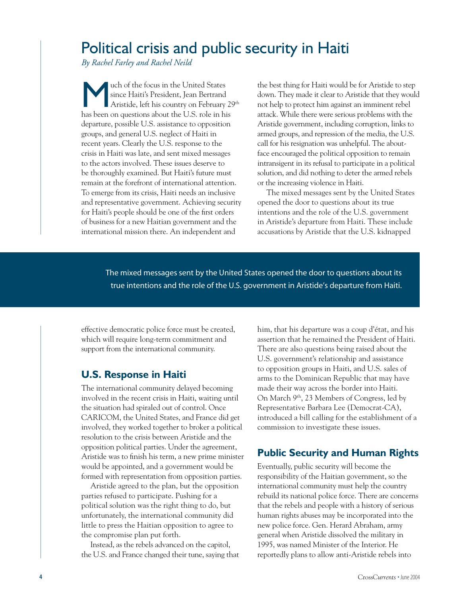## Political crisis and public security in Haiti

*By Rachel Farley and Rachel Neild*

Web of the focus in the United States<br>
since Haiti's President, Jean Bertrand<br>
Aristide, left his country on February<br>
her handle and the U.S. relating since Haiti's President, Jean Bertrand Aristide, left his country on February 29<sup>th</sup> has been on questions about the U.S. role in his departure, possible U.S. assistance to opposition groups, and general U.S. neglect of Haiti in recent years. Clearly the U.S. response to the crisis in Haiti was late, and sent mixed messages to the actors involved. These issues deserve to be thoroughly examined. But Haiti's future must remain at the forefront of international attention. To emerge from its crisis, Haiti needs an inclusive and representative government. Achieving security for Haiti's people should be one of the first orders of business for a new Haitian government and the international mission there. An independent and

the best thing for Haiti would be for Aristide to step down. They made it clear to Aristide that they would not help to protect him against an imminent rebel attack. While there were serious problems with the Aristide government, including corruption, links to armed groups, and repression of the media, the U.S. call for his resignation was unhelpful. The aboutface encouraged the political opposition to remain intransigent in its refusal to participate in a political solution, and did nothing to deter the armed rebels or the increasing violence in Haiti.

The mixed messages sent by the United States opened the door to questions about its true intentions and the role of the U.S. government in Aristide's departure from Haiti. These include accusations by Aristide that the U.S. kidnapped

The mixed messages sent by the United States opened the door to questions about its true intentions and the role of the U.S. government in Aristide's departure from Haiti.

effective democratic police force must be created, which will require long-term commitment and support from the international community.

#### **U.S. Response in Haiti**

The international community delayed becoming involved in the recent crisis in Haiti, waiting until the situation had spiraled out of control. Once CARICOM, the United States, and France did get involved, they worked together to broker a political resolution to the crisis between Aristide and the opposition political parties. Under the agreement, Aristide was to finish his term, a new prime minister would be appointed, and a government would be formed with representation from opposition parties.

Aristide agreed to the plan, but the opposition parties refused to participate. Pushing for a political solution was the right thing to do, but unfortunately, the international community did little to press the Haitian opposition to agree to the compromise plan put forth.

Instead, as the rebels advanced on the capitol, the U.S. and France changed their tune, saying that him, that his departure was a coup d'état, and his assertion that he remained the President of Haiti. There are also questions being raised about the U.S. government's relationship and assistance to opposition groups in Haiti, and U.S. sales of arms to the Dominican Republic that may have made their way across the border into Haiti. On March 9th, 23 Members of Congress, led by Representative Barbara Lee (Democrat-CA), introduced a bill calling for the establishment of a commission to investigate these issues.

#### **Public Security and Human Rights**

Eventually, public security will become the responsibility of the Haitian government, so the international community must help the country rebuild its national police force. There are concerns that the rebels and people with a history of serious human rights abuses may be incorporated into the new police force. Gen. Herard Abraham, army general when Aristide dissolved the military in 1995, was named Minister of the Interior. He reportedly plans to allow anti-Aristide rebels into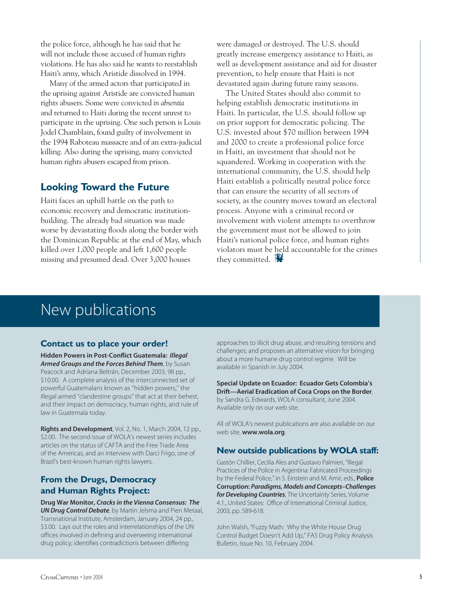the police force, although he has said that he will not include those accused of human rights violations. He has also said he wants to reestablish Haiti's army, which Aristide dissolved in 1994.

Many of the armed actors that participated in the uprising against Aristide are convicted human rights abusers. Some were convicted *in absentia* and returned to Haiti during the recent unrest to participate in the uprising. One such person is Louis Jodel Chamblain, found guilty of involvement in the 1994 Raboteau massacre and of an extra-judicial killing. Also during the uprising, many convicted human rights abusers escaped from prison.

#### **Looking Toward the Future**

Haiti faces an uphill battle on the path to economic recovery and democratic institutionbuilding. The already bad situation was made worse by devastating floods along the border with the Dominican Republic at the end of May, which killed over 1,000 people and left 1,600 people missing and presumed dead. Over 3,000 houses

were damaged or destroyed. The U.S. should greatly increase emergency assistance to Haiti, as well as development assistance and aid for disaster prevention, to help ensure that Haiti is not devastated again during future rainy seasons.

The United States should also commit to helping establish democratic institutions in Haiti. In particular, the U.S. should follow up on prior support for democratic policing. The U.S. invested about \$70 million between 1994 and 2000 to create a professional police force in Haiti, an investment that should not be squandered. Working in cooperation with the international community, the U.S. should help Haiti establish a politically neutral police force that can ensure the security of all sectors of society, as the country moves toward an electoral process. Anyone with a criminal record or involvement with violent attempts to overthrow the government must not be allowed to join Haiti's national police force, and human rights violators must be held accountable for the crimes they committed.

# New publications

#### **Contact us to place your order!**

Hidden Powers in Post-Conflict Guatemala: Illegal Armed Groups and the Forces Behind Them, by Susan Peacock and Adriana Beltrán, December 2003, 98 pp., \$10.00. A complete analysis of the interconnected set of powerful Guatemalans known as ''hidden powers,'' the illegal armed "clandestine groups" that act at their behest, and their impact on democracy, human rights, and rule of law in Guatemala today.

Rights and Development, Vol. 2, No. 1, March 2004, 12 pp., \$2.00. The second issue of WOLA's newest series includes articles on the status of CAFTA and the Free Trade Area of the Americas, and an interview with Darci Frigo, one of Brazil's best-known human rights lawyers.

#### **From the Drugs, Democracy and Human Rights Project:**

Drug War Monitor, Cracks in the Vienna Consensus: The UN Drug Control Debate, by Martin Jelsma and Pien Metaal, Transnational Institute, Amsterdam, January 2004, 24 pp., \$3.00. Lays out the roles and interrelationships of the UN offices involved in defining and overseeing international drug policy; identifies contradictions between differing

approaches to illicit drug abuse, and resulting tensions and challenges; and proposes an alternative vision for bringing about a more humane drug control regime. Will be available in Spanish in July 2004.

Special Update on Ecuador: Ecuador Gets Colombia's Drift—Aerial Eradication of Coca Crops on the Border, by Sandra G. Edwards, WOLA consultant, June 2004. Available only on our web site.

All of WOLA's newest publications are also available on our web site, www.wola.org.

#### **New outside publications by WOLA staff:**

Gastón Chillier, Cecilia Ales and Gustavo Palmieri, "Illegal Practices of the Police in Argentina: Fabricated Proceedings by the Federal Police," in S. Einstein and M. Amir, eds., Police Corruption: Paradigms, Models and Concepts–Challenges for Developing Countries, The Uncertainty Series, Volume 4.1., United States: Office of International Criminal Justice, 2003, pp. 589-618.

John Walsh, "Fuzzy Math: Why the White House Drug Control Budget Doesn't Add Up," FAS Drug Policy Analysis Bulletin, Issue No. 10, February 2004.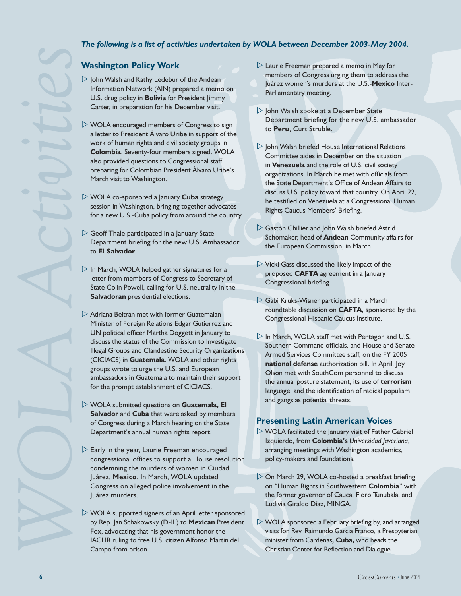#### *The following is a list of activities undertaken by WOLA between December 2003-May 2004.*

#### **Washington Policy Work**

- $\triangleright$  John Walsh and Kathy Ledebur of the Andean Information Network (AIN) prepared a memo on U.S. drug policy in **Bolivia** for President Jimmy Carter, in preparation for his December visit.
- $\triangleright$  WOLA encouraged members of Congress to sign a letter to President Álvaro Uribe in support of the work of human rights and civil society groups in **Colombia**. Seventy-four members signed. WOLA also provided questions to Congressional staff preparing for Colombian President Álvaro Uribe's March visit to Washington.
- WOLA co-sponsored a January **Cuba** strategy session in Washington, bringing together advocates for a new U.S.-Cuba policy from around the country.
- $\triangleright$  Geoff Thale participated in a January State Department briefing for the new U.S. Ambassador to **El Salvador**.
- $\triangleright$  In March, WOLA helped gather signatures for a letter from members of Congress to Secretary of State Colin Powell, calling for U.S. neutrality in the **Salvadoran** presidential elections.
- $\triangleright$  Adriana Beltrán met with former Guatemalan Minister of Foreign Relations Edgar Gutiérrez and UN political officer Martha Doggett in January to discuss the status of the Commission to Investigate Illegal Groups and Clandestine Security Organizations (CICIACS) in **Guatemala**. WOLA and other rights groups wrote to urge the U.S. and European ambassadors in Guatemala to maintain their support for the prompt establishment of CICIACS.
- WOLA submitted questions on **Guatemala, El Salvador** and **Cuba** that were asked by members of Congress during a March hearing on the State Department's annual human rights report.
- $\triangleright$  Early in the year, Laurie Freeman encouraged congressional offices to support a House resolution condemning the murders of women in Ciudad Juárez, **Mexico**. In March, WOLA updated Congress on alleged police involvement in the Juárez murders.
- $\triangleright$  WOLA supported signers of an April letter sponsored by Rep. Jan Schakowsky (D-IL) to **Mexican** President Fox, advocating that his government honor the IACHR ruling to free U.S. citizen Alfonso Martin del Campo from prison.
- $\triangleright$  Laurie Freeman prepared a memo in May for members of Congress urging them to address the Juárez women's murders at the U.S.-**Mexico** Inter-Parliamentary meeting.
- $\triangleright$  John Walsh spoke at a December State Department briefing for the new U.S. ambassador to **Peru**, Curt Struble.
- $\triangleright$  John Walsh briefed House International Relations Committee aides in December on the situation in **Venezuela** and the role of U.S. civil society organizations. In March he met with officials from the State Department's Office of Andean Affairs to discuss U.S. policy toward that country. On April 22, he testified on Venezuela at a Congressional Human Rights Caucus Members' Briefing.
- $\triangleright$  Gastón Chillier and John Walsh briefed Astrid Schomaker, head of **Andean** Community affairs for the European Commission, in March.
- $\triangleright$  Vicki Gass discussed the likely impact of the proposed **CAFTA** agreement in a January Congressional briefing.
- $\triangleright$  Gabi Kruks-Wisner participated in a March roundtable discussion on **CAFTA***,* sponsored by the Congressional Hispanic Caucus Institute.
- $\triangleright$  In March, WOLA staff met with Pentagon and U.S. Southern Command officials, and House and Senate Armed Services Committee staff, on the FY 2005 **national defense** authorization bill. In April, Joy Olson met with SouthCom personnel to discuss the annual posture statement, its use of **terrorism** language, and the identification of radical populism and gangs as potential threats.

#### **Presenting Latin American Voices**

- $\triangleright$  WOLA facilitated the January visit of Father Gabriel Izquierdo, from **Colombia's** *Universidad Javeriana*, arranging meetings with Washington academics, policy-makers and foundations.
- $\triangleright$  On March 29, WOLA co-hosted a breakfast briefing on "Human Rights in Southwestern **Colombia**" with the former governor of Cauca, Floro Tunubalá, and Ludivia Giraldo Díaz, MINGA.
- $\triangleright$  WOLA sponsored a February briefing by, and arranged visits for, Rev. Raimundo Garcia Franco, a Presbyterian minister from Cardenas**, Cuba,** who heads the Christian Center for Reflection and Dialogue.

*WOLA Activities*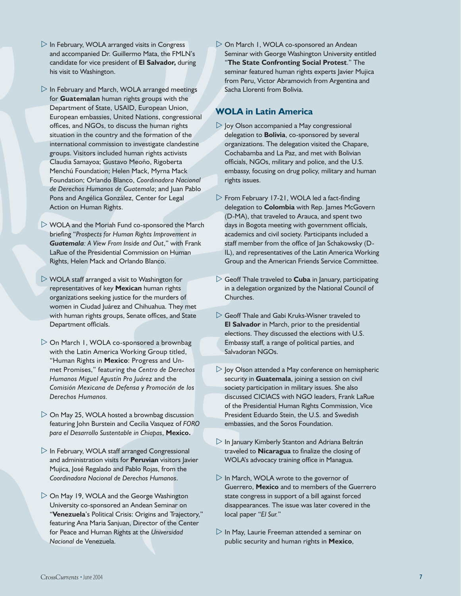- $\triangleright$  In February, WOLA arranged visits in Congress and accompanied Dr. Guillermo Mata, the FMLN's candidate for vice president of **El Salvador,** during his visit to Washington.
- $\triangleright$  In February and March, WOLA arranged meetings for **Guatemalan** human rights groups with the Department of State, USAID, European Union, European embassies, United Nations, congressional offices, and NGOs, to discuss the human rights situation in the country and the formation of the international commission to investigate clandestine groups. Visitors included human rights activists Claudia Samayoa; Gustavo Meoño, Rigoberta Menchú Foundation; Helen Mack, Myrna Mack Foundation; Orlando Blanco, *Coordinadora Nacional de Derechos Humanos de Guatemala*; and Juan Pablo Pons and Angélica González, Center for Legal Action on Human Rights.
- WOLA and the Moriah Fund co-sponsored the March briefing "*Prospects for Human Rights Improvement in Guatemala: A View From Inside and Out*," with Frank LaRue of the Presidential Commission on Human Rights, Helen Mack and Orlando Blanco.
- $\triangleright$  WOLA staff arranged a visit to Washington for representatives of key **Mexican** human rights organizations seeking justice for the murders of women in Ciudad Juárez and Chihuahua. They met with human rights groups, Senate offices, and State Department officials.
- $\triangleright$  On March 1, WOLA co-sponsored a brownbag with the Latin America Working Group titled, "Human Rights in **Mexico**: Progress and Unmet Promises," featuring the *Centro de Derechos Humanos Miguel Agustín Pro Juárez* and the *Comisión Mexicana de Defensa y Promoción de los Derechos Humanos.*
- $\triangleright$  On May 25, WOLA hosted a brownbag discussion featuring John Burstein and Cecilia Vasquez of *FORO para el Desarrollo Sustentable in Chiapas*, **Mexico.**
- In February, WOLA staff arranged Congressional and administration visits for **Peruvian** visitors Javier Mujica, José Regalado and Pablo Rojas, from the *Coordinadora Nacional de Derechos Humanos*.
- $\triangleright$  On May 19, WOLA and the George Washington University co-sponsored an Andean Seminar on "**Venezuela**'s Political Crisis: Origins and Trajectory," featuring Ana Maria Sanjuan, Director of the Center for Peace and Human Rights at the *Universidad Nacional* de Venezuela.

 On March 1, WOLA co-sponsored an Andean Seminar with George Washington University entitled "**The State Confronting Social Protest**." The seminar featured human rights experts Javier Mujica from Peru, Victor Abramovich from Argentina and Sacha Llorenti from Bolivia.

#### **WOLA in Latin America**

- $\triangleright$  loy Olson accompanied a May congressional delegation to **Bolivia**, co-sponsored by several organizations. The delegation visited the Chapare, Cochabamba and La Paz, and met with Bolivian officials, NGOs, military and police, and the U.S. embassy, focusing on drug policy, military and human rights issues.
- $\triangleright$  From February 17-21, WOLA led a fact-finding delegation to **Colombia** with Rep. James McGovern (D-MA), that traveled to Arauca, and spent two days in Bogota meeting with government officials, academics and civil society. Participants included a staff member from the office of Jan Schakowsky (D-IL), and representatives of the Latin America Working Group and the American Friends Service Committee.
- $\triangleright$  Geoff Thale traveled to **Cuba** in January, participating in a delegation organized by the National Council of Churches.
- Geoff Thale and Gabi Kruks-Wisner traveled to **El Salvador** in March, prior to the presidential elections. They discussed the elections with U.S. Embassy staff, a range of political parties, and Salvadoran NGOs.
- $\triangleright$  loy Olson attended a May conference on hemispheric security in **Guatemala**, joining a session on civil society participation in military issues. She also discussed CICIACS with NGO leaders, Frank LaRue of the Presidential Human Rights Commission, Vice President Eduardo Stein, the U.S. and Swedish embassies, and the Soros Foundation.
- $\triangleright$  In January Kimberly Stanton and Adriana Beltrán traveled to **Nicaragua** to finalize the closing of WOLA's advocacy training office in Managua.
- $\triangleright$  In March, WOLA wrote to the governor of Guerrero, **Mexico** and to members of the Guerrero state congress in support of a bill against forced disappearances. The issue was later covered in the local paper "*El Sur.*"
- $\triangleright$  In May, Laurie Freeman attended a seminar on public security and human rights in **Mexico**,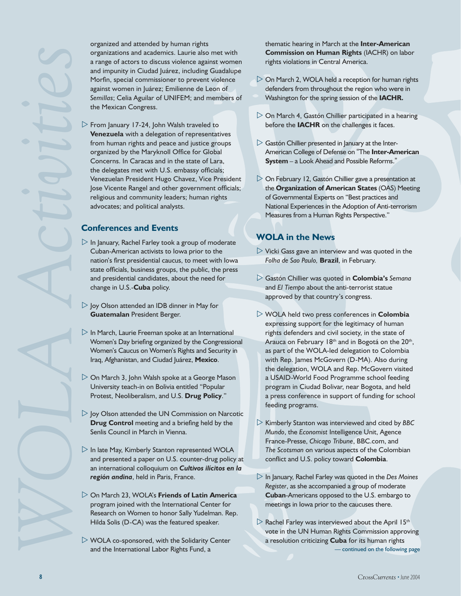organized and attended by human rights organizations and academics. Laurie also met with a range of actors to discuss violence against women and impunity in Ciudad Juárez, including Guadalupe Morfin, special commissioner to prevent violence against women in Juárez; Emilienne de Leon of *Semillas*; Celia Aguilar of UNIFEM; and members of the Mexican Congress.

 $\triangleright$  From January 17-24, John Walsh traveled to **Venezuela** with a delegation of representatives from human rights and peace and justice groups organized by the Maryknoll Office for Global Concerns. In Caracas and in the state of Lara, the delegates met with U.S. embassy officials; Venezuelan President Hugo Chavez, Vice President Jose Vicente Rangel and other government officials; religious and community leaders; human rights advocates; and political analysts.

#### **Conferences and Events**

- $\triangleright$  In January, Rachel Farley took a group of moderate Cuban-American activists to Iowa prior to the nation's first presidential caucus, to meet with Iowa state officials, business groups, the public, the press and presidential candidates, about the need for change in U.S.-**Cuba** policy.
- $\triangleright$  Joy Olson attended an IDB dinner in May for **Guatemalan** President Berger.
- $\triangleright$  In March, Laurie Freeman spoke at an International Women's Day briefing organized by the Congressional Women's Caucus on Women's Rights and Security in Iraq, Afghanistan, and Ciudad Juárez, **Mexico**.
- On March 3, John Walsh spoke at a George Mason University teach-in on Bolivia entitled "Popular Protest, Neoliberalism, and U.S. **Drug Policy**."
- $\triangleright$  Joy Olson attended the UN Commission on Narcotic **Drug Control** meeting and a briefing held by the Senlis Council in March in Vienna.
- $\triangleright$  In late May, Kimberly Stanton represented WOLA and presented a paper on U.S. counter-drug policy at an international colloquium on *Cultivos ilícitos en la región andina*, held in Paris, France.
- On March 23, WOLA's **Friends of Latin America** program joined with the International Center for Research on Women to honor Sally Yudelman. Rep. Hilda Solis (D-CA) was the featured speaker.
- $\triangleright$  WOLA co-sponsored, with the Solidarity Center and the International Labor Rights Fund, a

thematic hearing in March at the **Inter-American Commission on Human Rights** (IACHR) on labor rights violations in Central America.

- $\triangleright$  On March 2, WOLA held a reception for human rights defenders from throughout the region who were in Washington for the spring session of the **IACHR.**
- $\triangleright$  On March 4, Gastón Chillier participated in a hearing before the **IACHR** on the challenges it faces.
- $\triangleright$  Gastón Chillier presented in January at the Inter-American College of Defense on "The **Inter-American System** – a Look Ahead and Possible Reforms."
- $\triangleright$  On February 12, Gastón Chillier gave a presentation at the **Organization of American States** (OAS) Meeting of Governmental Experts on "Best practices and National Experiences in the Adoption of Anti-terrorism Measures from a Human Rights Perspective."

#### **WOLA in the News**

- $\triangleright$  Vicki Gass gave an interview and was quoted in the *Folha de Sao Paulo,* **Brazil**, in February.
- Gastón Chillier was quoted in **Colombia's** *Semana* and *El Tiempo* about the anti-terrorist statue approved by that country's congress.
- WOLA held two press conferences in **Colombia** expressing support for the legitimacy of human rights defenders and civil society, in the state of Arauca on February 18<sup>th</sup> and in Bogotá on the 20<sup>th</sup>, as part of the WOLA-led delegation to Colombia with Rep. James McGovern (D-MA). Also during the delegation, WOLA and Rep. McGovern visited a USAID-World Food Programme school feeding program in Ciudad Bolivar, near Bogota, and held a press conference in support of funding for school feeding programs.
- Kimberly Stanton was interviewed and cited by *BBC Mundo*, the *Economist* Intelligence Unit, Agence France-Presse, *Chicago Tribune*, BBC.com, and *The Scotsman* on various aspects of the Colombian conflict and U.S. policy toward **Colombia**.
- In January, Rachel Farley was quoted in the *Des Moines Register*, as she accompanied a group of moderate **Cuban**-Americans opposed to the U.S. embargo to meetings in Iowa prior to the caucuses there.
- $\triangleright$  Rachel Farley was interviewed about the April 15<sup>th</sup> vote in the UN Human Rights Commission approving a resolution criticizing **Cuba** for its human rights — continued on the following page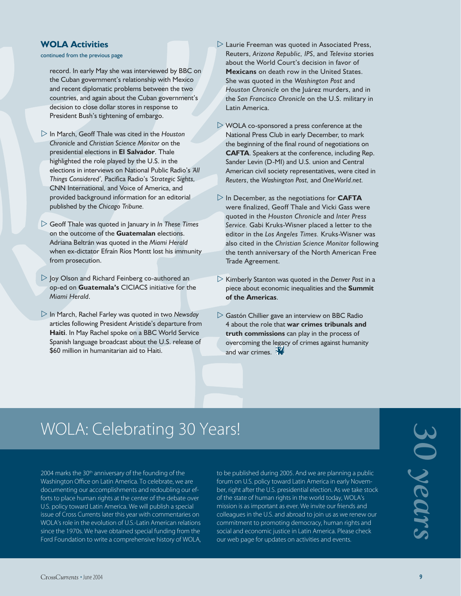#### **WOLA Activities**

continued from the previous page

record. In early May she was interviewed by BBC on the Cuban government's relationship with Mexico and recent diplomatic problems between the two countries, and again about the Cuban government's decision to close dollar stores in response to President Bush's tightening of embargo.

- In March, Geoff Thale was cited in the *Houston Chronicle* and *Christian Science Monitor* on the presidential elections in **El Salvador**. Thale highlighted the role played by the U.S. in the elections in interviews on National Public Radio's *'All Things Considered',* Pacifica Radio's *'Strategic Sights,*  CNN International*,* and Voice of America, and provided background information for an editorial published by the *Chicago Tribune.*
- Geoff Thale was quoted in January in *In These Times*  on the outcome of the **Guatemalan** elections. Adriana Beltrán was quoted in the *Miami Herald* when ex-dictator Efraín Ríos Montt lost his immunity from prosecution.
- $\triangleright$  Joy Olson and Richard Feinberg co-authored an op-ed on **Guatemala's** CICIACS initiative for the *Miami Herald*.
- In March, Rachel Farley was quoted in two *Newsday* articles following President Aristide's departure from **Haiti**. In May Rachel spoke on a BBC World Service Spanish language broadcast about the U.S. release of \$60 million in humanitarian aid to Haiti.
- $\triangleright$  Laurie Freeman was quoted in Associated Press, Reuters, *Arizona Republic, IPS*, and *Televisa* stories about the World Court's decision in favor of **Mexicans** on death row in the United States. She was quoted in the *Washington Post* and *Houston Chronicle* on the Juárez murders, and in the *San Francisco Chronicle* on the U.S. military in Latin America.
- $\triangleright$  WOLA co-sponsored a press conference at the National Press Club in early December, to mark the beginning of the final round of negotiations on **CAFTA**. Speakers at the conference, including Rep. Sander Levin (D-MI) and U.S. union and Central American civil society representatives, were cited in *Reuters*, the *Washington Post,* and *OneWorld.net.*
- $\triangleright$  In December, as the negotiations for **CAFTA** were finalized, Geoff Thale and Vicki Gass were quoted in the *Houston Chronicle* and *Inter Press Service.* Gabi Kruks-Wisner placed a letter to the editor in the *Los Angeles Times.* Kruks-Wisner was also cited in the *Christian Science Monitor* following the tenth anniversary of the North American Free Trade Agreement.
- $\triangleright$  Kimberly Stanton was quoted in the *Denver Post* in a piece about economic inequalities and the **Summit of the Americas**.
- $\triangleright$  Gastón Chillier gave an interview on BBC Radio 4 about the role that **war crimes tribunals and truth commissions** can play in the process of overcoming the legacy of crimes against humanity and war crimes.

# WOLA: Celebrating 30 Years!

2004 marks the 30<sup>th</sup> anniversary of the founding of the Washington Office on Latin America. To celebrate, we are documenting our accomplishments and redoubling our efforts to place human rights at the center of the debate over U.S. policy toward Latin America. We will publish a special issue of Cross Currents later this year with commentaries on WOLA's role in the evolution of U.S.-Latin American relations since the 1970s. We have obtained special funding from the Ford Foundation to write a comprehensive history of WOLA, to be published during 2005. And we are planning a public forum on U.S. policy toward Latin America in early November, right after the U.S. presidential election. As we take stock of the state of human rights in the world today, WOLA's mission is as important as ever. We invite our friends and colleagues in the U.S. and abroad to join us as we renew our commitment to promoting democracy, human rights and social and economic justice in Latin America. Please check our web page for updates on activities and events.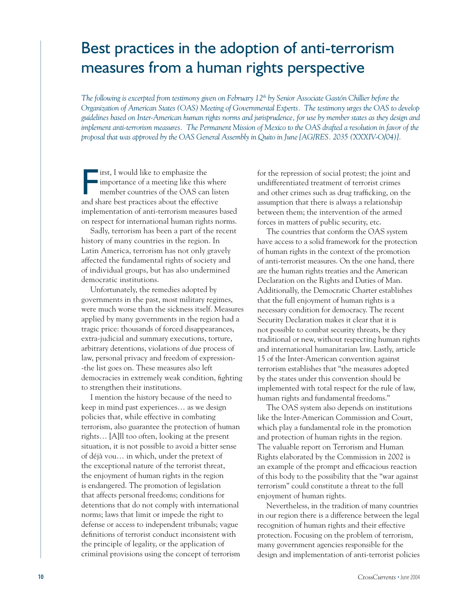## Best practices in the adoption of anti-terrorism measures from a human rights perspective

*The following is excerpted from testimony given on February 12<sup>th</sup> by Senior Associate Gastón Chillier before the Organization of American States (OAS) Meeting of Governmental Experts. The testimony urges the OAS to develop guidelines based on Inter-American human rights norms and jurisprudence, for use by member states as they design and implement anti-terrorism measures. The Permanent Mission of Mexico to the OAS drafted a resolution in favor of the proposal that was approved by the OAS General Assembly in Quito in June [AG/RES. 2035 (XXXIV-O/04)].* 

irst, I would like to emphasize the<br>importance of a meeting like this whe<br>member countries of the OAS can list<br>and share best practices about the effective **I** irst, I would like to emphasize the Importance of a meeting like this where member countries of the OAS can listen implementation of anti-terrorism measures based on respect for international human rights norms.

Sadly, terrorism has been a part of the recent history of many countries in the region. In Latin America, terrorism has not only gravely affected the fundamental rights of society and of individual groups, but has also undermined democratic institutions.

Unfortunately, the remedies adopted by governments in the past, most military regimes, were much worse than the sickness itself. Measures applied by many governments in the region had a tragic price: thousands of forced disappearances, extra-judicial and summary executions, torture, arbitrary detentions, violations of due process of law, personal privacy and freedom of expression- -the list goes on. These measures also left democracies in extremely weak condition, fighting to strengthen their institutions.

I mention the history because of the need to keep in mind past experiences… as we design policies that, while effective in combating terrorism, also guarantee the protection of human rights… [A]ll too often, looking at the present situation, it is not possible to avoid a bitter sense of déjà vou… in which, under the pretext of the exceptional nature of the terrorist threat, the enjoyment of human rights in the region is endangered. The promotion of legislation that affects personal freedoms; conditions for detentions that do not comply with international norms; laws that limit or impede the right to defense or access to independent tribunals; vague definitions of terrorist conduct inconsistent with the principle of legality, or the application of criminal provisions using the concept of terrorism

for the repression of social protest; the joint and undifferentiated treatment of terrorist crimes and other crimes such as drug trafficking, on the assumption that there is always a relationship between them; the intervention of the armed forces in matters of public security, etc.

The countries that conform the OAS system have access to a solid framework for the protection of human rights in the context of the promotion of anti-terrorist measures. On the one hand, there are the human rights treaties and the American Declaration on the Rights and Duties of Man. Additionally, the Democratic Charter establishes that the full enjoyment of human rights is a necessary condition for democracy. The recent Security Declaration makes it clear that it is not possible to combat security threats, be they traditional or new, without respecting human rights and international humanitarian law. Lastly, article 15 of the Inter-American convention against terrorism establishes that "the measures adopted by the states under this convention should be implemented with total respect for the rule of law, human rights and fundamental freedoms."

The OAS system also depends on institutions like the Inter-American Commission and Court, which play a fundamental role in the promotion and protection of human rights in the region. The valuable report on Terrorism and Human Rights elaborated by the Commission in 2002 is an example of the prompt and efficacious reaction of this body to the possibility that the "war against terrorism" could constitute a threat to the full enjoyment of human rights.

Nevertheless, in the tradition of many countries in our region there is a difference between the legal recognition of human rights and their effective protection. Focusing on the problem of terrorism, many government agencies responsible for the design and implementation of anti-terrorist policies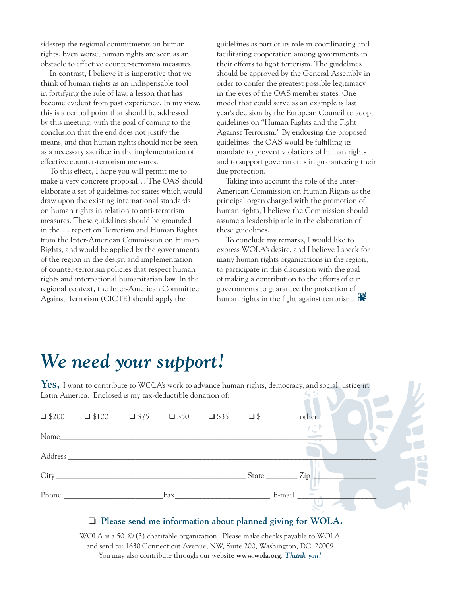sidestep the regional commitments on human rights. Even worse, human rights are seen as an obstacle to effective counter-terrorism measures.

In contrast, I believe it is imperative that we think of human rights as an indispensable tool in fortifying the rule of law, a lesson that has become evident from past experience. In my view, this is a central point that should be addressed by this meeting, with the goal of coming to the conclusion that the end does not justify the means, and that human rights should not be seen as a necessary sacrifice in the implementation of effective counter-terrorism measures.

To this effect, I hope you will permit me to make a very concrete proposal… The OAS should elaborate a set of guidelines for states which would draw upon the existing international standards on human rights in relation to anti-terrorism measures. These guidelines should be grounded in the … report on Terrorism and Human Rights from the Inter-American Commission on Human Rights, and would be applied by the governments of the region in the design and implementation of counter-terrorism policies that respect human rights and international humanitarian law. In the regional context, the Inter-American Committee Against Terrorism (CICTE) should apply the

guidelines as part of its role in coordinating and facilitating cooperation among governments in their efforts to fight terrorism. The guidelines should be approved by the General Assembly in order to confer the greatest possible legitimacy in the eyes of the OAS member states. One model that could serve as an example is last year's decision by the European Council to adopt guidelines on "Human Rights and the Fight Against Terrorism." By endorsing the proposed guidelines, the OAS would be fulfilling its mandate to prevent violations of human rights and to support governments in guaranteeing their due protection.

Taking into account the role of the Inter-American Commission on Human Rights as the principal organ charged with the promotion of human rights, I believe the Commission should assume a leadership role in the elaboration of these guidelines.

To conclude my remarks, I would like to express WOLA's desire, and I believe I speak for many human rights organizations in the region, to participate in this discussion with the goal of making a contribution to the efforts of our governments to guarantee the protection of human rights in the fight against terrorism.

# *We need your support!*

Yes, I want to contribute to WOLA's work to advance human rights, democracy, and social justice in Latin America. Enclosed is my tax-deductible donation of: **SOF** 

| $\Box$ \$200 | $\Box$ \$100 $\Box$ \$75 $\Box$ \$50 $\Box$ \$35 $\Box$ \$ |     |          | other              |  |
|--------------|------------------------------------------------------------|-----|----------|--------------------|--|
|              |                                                            |     |          | $\mathcal{C}$      |  |
|              |                                                            |     |          |                    |  |
|              |                                                            |     | State __ | Zip                |  |
|              |                                                            | Fax |          | $E$ -mail $\qquad$ |  |

#### ❑ **Please send me information about planned giving for WOLA.**

WOLA is a 501© (3) charitable organization. Please make checks payable to WOLA and send to: 1630 Connecticut Avenue, NW, Suite 200, Washington, DC 20009 You may also contribute through our website **www.wola.org**. *Thank you!*